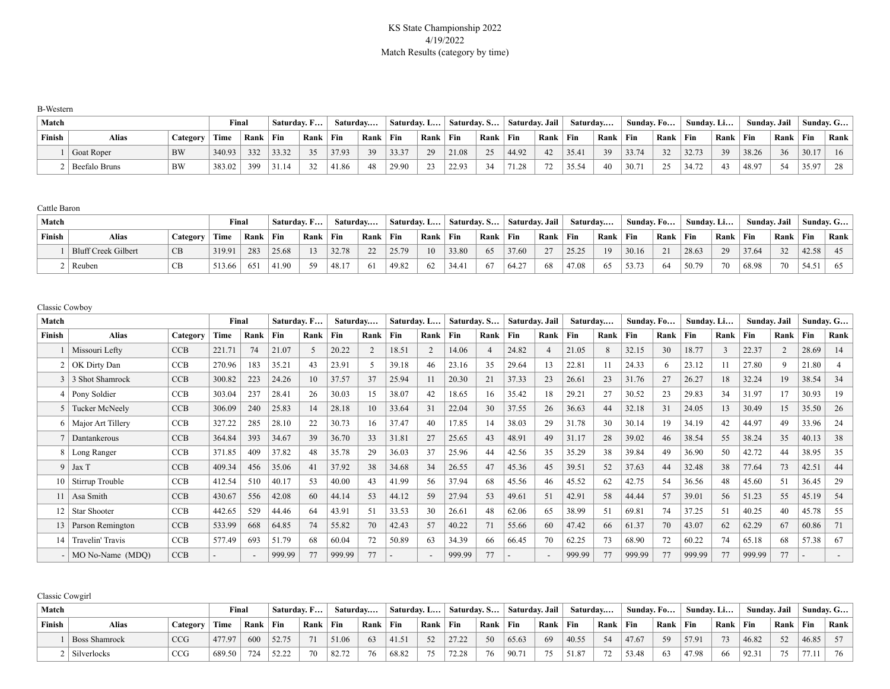# KS State Championship 2022 4/19/2022 Match Results (category by time)

| <b>B-Western</b> |               |          |        |      |       |             |       |              |             |      |             |          |                |      |          |      |            |              |            |      |       |              |           |      |
|------------------|---------------|----------|--------|------|-------|-------------|-------|--------------|-------------|------|-------------|----------|----------------|------|----------|------|------------|--------------|------------|------|-------|--------------|-----------|------|
| Match            |               |          | Final  |      |       | Saturday, F |       | Saturday     | Saturday. L |      | Saturday. S |          | Saturday. Jail |      | Saturday |      | Sunday. Fo |              | Sunday. Li |      |       | Sundav. Jail | Sundav. G |      |
| Finish           | Alias         | Category | Time   | Rank | Fin   | Rank        | Fin   | $Rank$   Fin |             | Rank | Fin         | Rank Fin |                | Rank | Fin      | Rank | Fin        | $Rank$   Fin |            | Rank | Fin   | Rank   Fin   |           | Rank |
|                  | Goat Roper    | BW       | 340.93 | 332  | 33.32 | 35          | 37.93 | 39           | 33.37       | 29   | 21.08       | 25       | 44.92          | 42   | 35.41    | 39   | 33.74      | 32           | 32.73      | 39   | 38.26 | 36           | 30.17     | - 16 |
|                  | Beefalo Bruns | BW       | 383.02 | 399  | 31.14 | 32          | 41.86 | 48           | 29.90       | 23   | 22.93       | 34       | 71.28          | 72   | 35.54    | 40   | 30.71      | 25           | 34.72      | 43   | 48.97 | - 54         | 35.97     | 28   |

Cattle Baron

| Match  |                     |          | <b>Final</b> |            | ' Saturday. F |      | Saturday |               | Saturday. L |      | Saturday. S |      | Saturday. Jail |      | Saturday |      | Sunday. Fo |              | Sunday. Li |      | Sundav. Jail |      | $^{\perp}$ Sunday. G |      |
|--------|---------------------|----------|--------------|------------|---------------|------|----------|---------------|-------------|------|-------------|------|----------------|------|----------|------|------------|--------------|------------|------|--------------|------|----------------------|------|
| Finish | <b>Alias</b>        | Category | Time         | Rank   Fin |               | Rank | Fin      | Rank Fin      |             | Rank | Fin         | Rank | Fin            | Rank | Fin      | Rank | Fin        | $Rank$   Fin |            | Rank | $ $ Fin      | Rank | $\mathbf{F}$ in      | Rank |
|        | Bluff Creek Gilbert | CB       | 319.91       | 283        | 25.68         | 13   | 32.78    | $\mathcal{D}$ | 25.79       | 10   | 33.80       | 65   | 37.60          | 27   | 25.25    | 19   | 30.16      | 21           | 28.63      | 29   | 37.64        | 32   | 42.58                |      |
|        | Reuben              | CВ       | 513.66       | 651        | 41.90         | 59   | 48.17    |               | 49.82       | 62   | 34.4        | 67   | 64.27          | 68   | 47.08    | 65   | 53.73      | -64          | 50.79      | 70   | 68.98        | 70   | 54.51                |      |

Classic Cowboy

| Match  |                       |            | Final  |      | Saturday. F |      | Saturday |      | Saturday. L |                          | Saturday. S |                          | Saturday. Jail |      | Saturday |      | Sunday. Fo |      | Sunday. Li |              | Sunday. Jail |      |       | Sunday. G |
|--------|-----------------------|------------|--------|------|-------------|------|----------|------|-------------|--------------------------|-------------|--------------------------|----------------|------|----------|------|------------|------|------------|--------------|--------------|------|-------|-----------|
| Finish | <b>Alias</b>          | Category   | Time   | Rank | Fin         | Rank | Fin      | Rank | Fin         | Rank                     | Fin         | Rank                     | Fin            | Rank | Fin      | Rank | Fin        | Rank | Fin        | Rank         | Fin          | Rank | Fin   | Rank      |
|        | Missouri Lefty        | <b>CCB</b> | 221.71 | 74   | 21.07       | 5    | 20.22    |      | 18.51       | $\overline{2}$           | 14.06       | $\overline{\mathcal{L}}$ | 24.82          |      | 21.05    | 8    | 32.15      | 30   | 18.77      | $\mathbf{3}$ | 22.37        |      | 28.69 | 14        |
|        | OK Dirty Dan          | <b>CCB</b> | 270.96 | 183  | 35.21       | 43   | 23.91    |      | 39.18       | 46                       | 23.16       | 35                       | 29.64          | 13   | 22.81    | 11   | 24.33      |      | 23.12      | 11           | 27.80        | 9    | 21.80 |           |
|        | 3 Shot Shamrock       | CCB        | 300.82 | 223  | 24.26       | 10   | 37.57    | 37   | 25.94       | 11                       | 20.30       | 21                       | 37.33          | 23   | 26.61    | 23   | 31.76      | 27   | 26.27      | 18           | 32.24        | 19   | 38.54 | 34        |
| 4      | Pony Soldier          | CCB        | 303.04 | 237  | 28.41       | 26   | 30.03    | 15   | 38.07       | 42                       | 18.65       | 16                       | 35.42          | 18   | 29.21    | 27   | 30.52      | 23   | 29.83      | 34           | 31.97        | 17   | 30.93 | 19        |
|        | <b>Tucker McNeely</b> | <b>CCB</b> | 306.09 | 240  | 25.83       | 14   | 28.18    | 10   | 33.64       | 31                       | 22.04       | 30                       | 37.55          | 26   | 36.63    | 44   | 32.18      | 31   | 24.05      | 13           | 30.49        | 15   | 35.50 | 26        |
|        | Major Art Tillery     | <b>CCB</b> | 327.22 | 285  | 28.10       | 22   | 30.73    | 16   | 37.47       | 40                       | 17.85       | 14                       | 38.03          | 29   | 31.78    | 30   | 30.14      | 19   | 34.19      | 42           | 44.97        | 49   | 33.96 | 24        |
|        | Dantankerous          | <b>CCB</b> | 364.84 | 393  | 34.67       | 39   | 36.70    | 33   | 31.81       | 27                       | 25.65       | 43                       | 48.91          | 49   | 31.17    | 28   | 39.02      | 46   | 38.54      | 55           | 38.24        | 35   | 40.13 | 38        |
|        | Long Ranger           | <b>CCB</b> | 371.85 | 409  | 37.82       | 48   | 35.78    | 29   | 36.03       | 37                       | 25.96       | 44                       | 42.56          | 35   | 35.29    | 38   | 39.84      | 49   | 36.90      | 50           | 42.72        | 44   | 38.95 | 35        |
| 9      | Jax T                 | CCB        | 409.34 | 456  | 35.06       | 41   | 37.92    | 38   | 34.68       | 34                       | 26.55       | 47                       | 45.36          | 45   | 39.51    | 52   | 37.63      | 44   | 32.48      | 38           | 77.64        | 73   | 42.51 | 44        |
| 10     | Stirrup Trouble       | <b>CCB</b> | 412.54 | 510  | 40.17       | 53   | 40.00    | 43   | 41.99       | 56                       | 37.94       | 68                       | 45.56          | 46   | 45.52    | 62   | 42.75      | 54   | 36.56      | 48           | 45.60        | 51   | 36.45 | 29        |
|        | Asa Smith             | <b>CCB</b> | 430.67 | 556  | 42.08       | 60   | 44.14    | 53   | 44.12       | 59                       | 27.94       | 53                       | 49.61          | 51   | 42.91    | 58   | 44.44      | 57   | 39.01      | 56           | 51.23        | 55   | 45.19 | 54        |
|        | Star Shooter          | CCB        | 442.65 | 529  | 44.46       | 64   | 43.91    | 51   | 33.53       | 30                       | 26.61       | 48                       | 62.06          | 65   | 38.99    | 51   | 69.81      | 74   | 37.25      | 51           | 40.25        | 40   | 45.78 | 55        |
| 13     | Parson Remington      | CCB        | 533.99 | 668  | 64.85       | 74   | 55.82    | 70   | 42.43       | 57                       | 40.22       | 71                       | 55.66          | 60   | 47.42    | 66   | 61.37      | 70   | 43.07      | 62           | 62.29        | 67   | 60.86 | 71        |
|        | Travelin' Travis      | <b>CCB</b> | 577.49 | 693  | 51.79       | 68   | 60.04    |      | 50.89       | 63                       | 34.39       | -66                      | 66.45          | 70   | 62.25    | 73   | 68.90      |      | 60.22      | 74           | 65.18        | 68   | 57.38 | 67        |
|        | MO No-Name (MDO)      | CCB        |        |      | 999.99      | 77   | 999.99   |      |             | $\overline{\phantom{a}}$ | 999.99      | 77                       |                |      | 999.99   | 77   | 999.99     |      | 999.99     | 77           | 999.99       | 77   |       |           |

Classic Cowgirl

| Match  |                      |          | Final  |      | Saturday. F |      | Saturday |      | Saturday. L |      | <b>Saturday, S</b> |      | Saturday. Jail |      | Saturdav |      | Sunday. Fo |      | Sunday. Li  |      | Sundav. Jail |      |                  | Sunday. G |
|--------|----------------------|----------|--------|------|-------------|------|----------|------|-------------|------|--------------------|------|----------------|------|----------|------|------------|------|-------------|------|--------------|------|------------------|-----------|
| Finish | Alias                | Category | Time   | Rank | Fin         | Rank | $ $ Fin  | Rank | $\perp$ Fin | Rank | <b>Fin</b>         | Rank | Fin            | Rank | Fin      | Rank | Fin        | Rank | $\perp$ Fin | Rank | Fin          | Rank | <sup>1</sup> Fin | Rank      |
|        | <b>Boss Shamrock</b> |          | 477.97 | 600  | 52.75       | 71   | 51.06    |      | 41.5        | 52   | 27.22              | 50   | 65.63          | 69   | 40.55    | 54   | 47.67      | 59   | 57.91       | 72   | 46.82        | 52   | 46.85            |           |
|        | Silverlocks          | CCG      | 689.50 | 724  | 52.22       | 70   | 82.72    | 76   | 68.82       | 75   | 72.28              | 76   | 90.71          | 75   | 51.87    | 72   | 53.48      | 63   | 47.98       | 66   | 92.31        | 75   | 77.11            | 76        |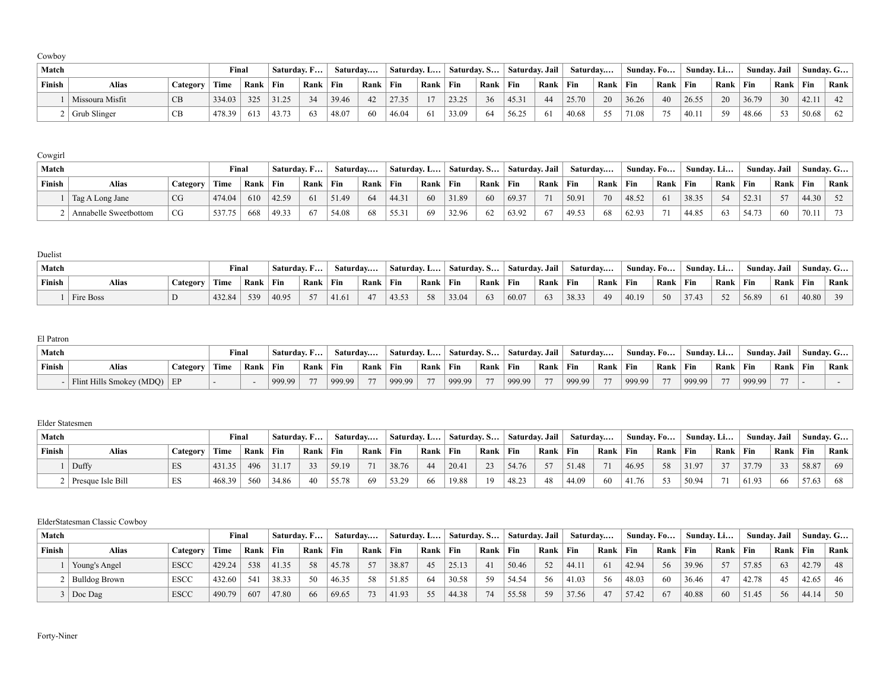| Match  |                 |          | Final  |      | $\pm$ Saturday. F |      | Saturday |          | Saturday. L |      | $\mathsf{Saturdav. S}$ |        | Saturday. Jail |      | Saturday |      | Sunday. Fo |      | Sunday. Li |      | Sunday. Jail |      | Sunday. G |      |
|--------|-----------------|----------|--------|------|-------------------|------|----------|----------|-------------|------|------------------------|--------|----------------|------|----------|------|------------|------|------------|------|--------------|------|-----------|------|
| Finish | <b>Alias</b>    | Category | Time   | Rank | Fin               | Rank | Fin      | Rank Fin |             | Rank | Fin                    | ' Rank | ∣ Fin          | Rank | Fin      | Rank | Fin        | Rank | $ $ Fin    | Rank | Fin          | Rank | Fin       | Rank |
|        | Missoura Misfit | CB       | 334.03 | 325  | 31.25             | 34   | 39.46    | 42       | 27.35       | 17   | 23.25                  | 36     | 45.31          | 44   | 25.70    | 20   | 36.26      | 40   | 26.55      | 20   | 36.79        | 30   | 42.11     | 42   |
|        | Grub Slinger    | CB       | 478.39 | 613  | 43.73             | 63   | 48.07    | 60       | 46.04       | 61   | 33.09                  | 64     | 56.25          | -61  | 40.68    | 55   | 71.08      | 75   | 40.11      | .59  | 48.66        | 53   | 50.68     | 62   |

| Cowgirl |                       |          |        |            |             |      |          |          |             |      |             |              |                |      |          |      |       |             |            |      |              |      |             |      |
|---------|-----------------------|----------|--------|------------|-------------|------|----------|----------|-------------|------|-------------|--------------|----------------|------|----------|------|-------|-------------|------------|------|--------------|------|-------------|------|
| Match   |                       |          | Final  |            | Saturday, F |      | Saturday |          | Saturday. L |      | Saturday, S |              | Saturday. Jail |      | Saturday |      |       | Sunday. Fo  | Sunday. Li |      | Sundav. Jail |      | Sundav. G   |      |
| Finish  | Alias                 | Category | Time   | Rank   Fin |             | Rank | Fin      | Rank Fin |             | Rank | Fin         | $Rank$   Fin |                | Rank | $ $ Fin  | Rank | Fin   | Rank        | Fin        | Rank | Fin          | Rank | $\perp$ Fin | Rank |
|         | Tag A Long Jane       | CG       | 474.04 | 610        | 42.59       | 61   | 51.49    | 64       | 44.31       | 60   | 31.89       | 60           | 69.37          | 71   | 50.91    | 70   | 48.52 | -61         | 38.35      | 54   | 52.31        | 57   | 44.30       | 52   |
|         | Annabelle Sweetbottom |          | 537.75 | 668        | 49.33       | 67   | 54.08    | 68       | 55.31       | 69   | 32.96       | 62           | 63.92          | 67   | 49.53    | 68   | 62.93 | $7^{\circ}$ | 44.85      | 63   | 54.73        | -60  | 70.11       | 73   |

Duelist

| Match  |              |          | Final  |      | $^{\circ}$ Saturday. F |      | Saturday |      | ' Saturday. L |      | Saturday. S |      | Saturday. Jail |          | Saturdav |      | Sundav. Fo |      | Sundav. Li |      | Sundav. Jail |      | $^{\circ}$ Sundav. G |      |
|--------|--------------|----------|--------|------|------------------------|------|----------|------|---------------|------|-------------|------|----------------|----------|----------|------|------------|------|------------|------|--------------|------|----------------------|------|
| Finish | <b>Alias</b> | Category | Time   | Rank | ' Fin                  | Rank | $ $ Fin  | Rank | Fin           | Rank | Fin         | Rank | Fin            | Rank Fin |          | Rank | Fin        | Rank | $ $ Fin    | Rank | Fir          | Rank | Fin                  | Rank |
|        | Fire Boss    |          | 432.84 | 539  | 40.95                  | 57   | 41.61    | 47   | 43.53         | 58   | 33.04       | 63   | 60.07          | 63       | 38.33    | 49   | 40.19      | 50   | 37.43      | 52   | 56.89        | -61  | 40.80                | 39   |

El Patron

| ------------ |                             |                 |       |      |               |      |          |              |             |                |               |            |                |      |          |      |                   |                |            |                |              |      |           |                      |
|--------------|-----------------------------|-----------------|-------|------|---------------|------|----------|--------------|-------------|----------------|---------------|------------|----------------|------|----------|------|-------------------|----------------|------------|----------------|--------------|------|-----------|----------------------|
| Match        |                             |                 | Final |      | ' Saturday. F |      | Saturday |              | Saturday. L |                | ` Saturdav. S |            | Saturday. Jail |      | Saturdav |      | Sunday. Fo $\Box$ |                | Sunday. Li |                | Sundav. Jail |      |           | $^{\circ}$ Sunday. G |
| Finish       | Alias                       | <b>Category</b> | Time  | Rank | Fin           | Rank | $ $ Fin  | Rank         | $ $ Fin     | Rank           | Fin           | Rank   Fin |                | Rank | Fin      | Rank | Fin               | ` Rank         | ' Fin      | Rank           | ∣ Fin        | Rank | $\pm$ Fin | Rank                 |
|              | Flint Hills Smokey (MDQ) EP |                 |       |      | 999.99        | 77   | 999.99   | $\mathbf{z}$ | 999.99      | $\overline{a}$ | 999.99        | 77         | 999.99         | 77   | 999.99   | 77   | 999.99            | $\overline{a}$ | 999.99     | $\overline{a}$ | 999.99       |      |           |                      |

#### Elder Statesmen

| Match  |                   |          | Final  |      | $\overline{\phantom{a}}$ Saturday. F |            |       | Saturdav   | Saturday. L |      | Saturday, S   Saturday, Jail |          |       |          | Saturday |      | Sunday. Fo |      | Sunday. Li |      | Sundav. Jail |      | Sundav. G |                            |
|--------|-------------------|----------|--------|------|--------------------------------------|------------|-------|------------|-------------|------|------------------------------|----------|-------|----------|----------|------|------------|------|------------|------|--------------|------|-----------|----------------------------|
| Finish | Alias             | Category | Time   | Rank | Fin                                  | $Rank$ Fin |       | Rank   Fin |             | Rank | Fin                          | Rank Fin |       | Rank Fin |          | Rank | Fin        | Rank | $ $ Fin    | Rank | Fin          | Rank | $ $ Fin   | $\sqrt{ }$ Rank $\sqrt{ }$ |
|        | Duffy             |          | 431.35 | 496  | 31.17                                | 33         | 59.19 | 71         | 38.76       | 44   | 20.41                        | 23       | 54.76 | 57       | 51.48    | 71   | 46.95      | 58   | 31.97      | 37   | 37.79        | 33   | 58.87     | 69                         |
|        | Presque Isle Bill | ⊥ມ       | 468.39 | 560  | 34.86                                | 40         | 55.78 | -69        | 53.29       | 66   | 19.88                        |          | 48.23 | 48       | 44.09    | 60   | 41.76      | 53   | 50.94      |      | 61.93        | -66  | 57.63     | 68                         |

#### ElderStatesman Classic Cowboy

| Match  |               |             | Final  |      | $\overline{\phantom{a}}$ Saturday. F |      | Saturday |      | Saturday. L |      | Saturday. S |      | Saturdav. Jail |              | Saturdav |      | Sunday. Fo |      | Sunday. Li |      | Sunday. Jail |      |       | Sunday. $G$ |
|--------|---------------|-------------|--------|------|--------------------------------------|------|----------|------|-------------|------|-------------|------|----------------|--------------|----------|------|------------|------|------------|------|--------------|------|-------|-------------|
| Finish | <b>Alias</b>  | Category    | Time   | Rank | Fin                                  | Rank | Fin      | Rank | ' Fin       | Rank | Fin         | Rank | $ $ Fin        | $Rank$   Fin |          | Rank | ` Fin      | Rank | $ $ Fin    | Rank | Fin          | Rank | Fin   | Rank        |
|        | Young's Angel | <b>ESCC</b> | 429.24 | 538  | 41.35                                | 58   | 45.78    | 57   | 38.87       | 45   | 25.13       | 41   | 50.46          | 52           | 44.1     | 61   | 42.94      | -56  | 39.96      | 57   | 57.85        | 63   | 42.79 | 48          |
|        | Bulldog Brown | <b>ESCC</b> | 432.60 | 541  | 38.33                                | 50   | 46.35    | 58   | 51.85       | 64   | 30.58       | 59   | 54.54          | 56           | 41.03    | 56   | 48.03      | 60   | 36.46      |      | 42.78        | 45   | 42.65 | 46          |
|        | Doc Dag       | <b>ESCC</b> | 490.79 | 607  | 47.80                                | 66   | 69.65    |      | 41.93       | 55   | 44.38       | 74   | 55.58          | 59           | 37.56    | 47   | 57.42      | 67   | 40.88      | 60   | 51.45        | 56   | 44.14 | 50          |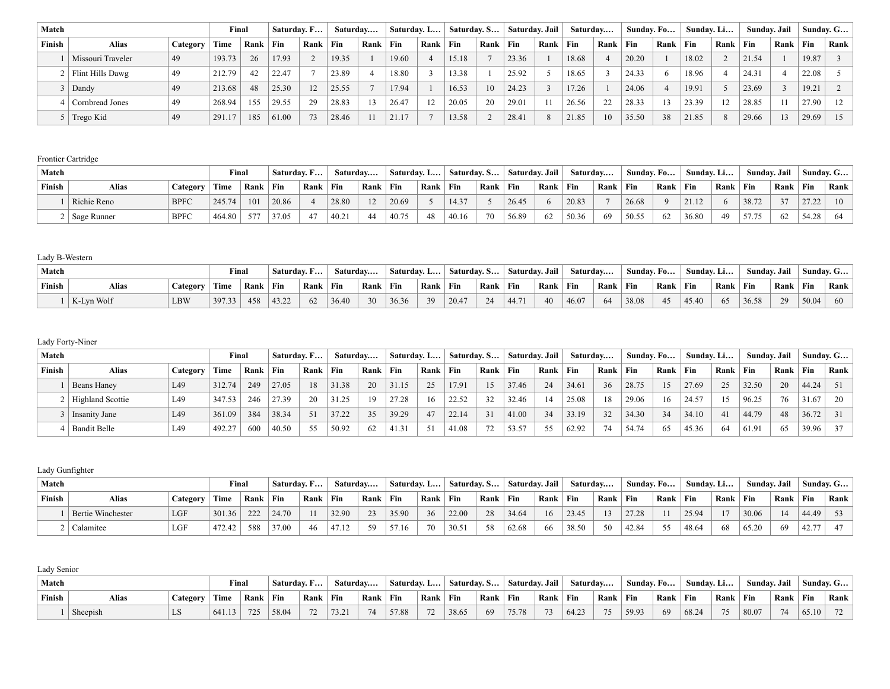| Match  |                   |          | Final  |      | Saturday. F |      |       | Saturday | Saturday. L |      | Saturday. S |      | Saturday. Jail |      | Saturday   |      | Sunday. Fo |      | Sunday. Li |      | Sunday. Jail |      |       | Sunday. G |
|--------|-------------------|----------|--------|------|-------------|------|-------|----------|-------------|------|-------------|------|----------------|------|------------|------|------------|------|------------|------|--------------|------|-------|-----------|
| Finish | <b>Alias</b>      | Category | Time   | Rank | Fin         | Rank | Fin   | Rank     | Fin         | Rank | Fin         | Rank | Fin            | Rank | <b>Fin</b> | Rank | $ $ Fin    | Rank | Fin        | Rank | Fin          | Rank | Fin   | Rank      |
|        | Missouri Traveler | 49       | 193.73 | 26   | 17.93       |      | 19.35 |          | 19.60       |      | 15.18       |      | 23.36          |      | 18.68      |      | 20.20      |      | 18.02      |      | 21.54        |      | 19.87 |           |
|        | Flint Hills Dawg  | 49       | 212.79 | 42   | 22.47       |      | 23.89 |          | 18.80       |      | 13.38       |      | 25.92          |      | 18.65      |      | 24.33      |      | 18.96      |      | 24.31        |      | 22.08 |           |
|        | Dandy             | -49      | 213.68 | 48   | 25.30       | 12   | 25.55 |          | 17.94       |      | 16.53       | 10   | 24.23          |      | 17.26      |      | 24.06      |      | 19.91      |      | 23.69        |      | 19.21 |           |
|        | Cornbread Jones   | 49       | 268.94 | 155  | 29.55       | 29   | 28.83 |          | 26.47       | 12   | 20.05       | 20   | 29.01          |      | 26.56      | 22   | 28.33      |      | 23.39      | 12   | 28.85        |      | 27.90 | 12        |
|        | Trego Kid         | -49      | 291.1  | 185  | 61.00       | 73   | 28.46 |          | 21.17       |      | 13.58       |      | 28.4           |      | 21.85      | 10   | 35.50      | 38   | 21.85      | 8    | 29.66        |      | 29.69 | -15       |

#### Frontier Cartridge

| Match  |                 |             | Final  |            |       | Saturday. F | Saturdav |      | Saturday. L |      | Saturday, S |             | Saturday. Jail |      | Saturday |      | Sunday, Fo |      | Sunday. Li |      | Sundav. Jail |      |       | Sunday. G |
|--------|-----------------|-------------|--------|------------|-------|-------------|----------|------|-------------|------|-------------|-------------|----------------|------|----------|------|------------|------|------------|------|--------------|------|-------|-----------|
| Finish | Alias           | Category    | Time   | Rank   Fin |       | Rank        | Fin      | Rank | Fin         | Rank | Fin         | <b>Rank</b> | $ $ Fin        | Rank | Fin      | Rank | Fin        | Rank | Fin        | Rank | <b>Fin</b>   | Rank | Fin   | Rank      |
|        | Richie Reno     | <b>BPFC</b> | 245.74 | 101        | 20.86 |             | 28.80    |      | 20.69       |      | 14.37       |             | 26.45          |      | 20.83    |      | 26.68      |      | 2112       |      | 38.72        | 37   | 2722  | 10        |
|        | 2   Sage Runner | <b>BPFC</b> | 464.80 | 577        | 37.05 | 47          | 40.21    |      | 40.75       | 48   | 40.16       | 70          | 56.89          | 62   | 50.36    | 69   | 50.55      | 62   | 36.80      | 49   | 57.75        | 62   | 54.28 | - 64      |

# Lady B-Western

| Match  |            |                 | Final  |            | $\overline{\phantom{a}}$ Saturday. F |      | Saturday |              | Saturday. L |      | <b>Saturday, S</b> |      | Saturday. Jail |          | Saturdav |      | Sunday. Fo |              | Sundav. Li |      | Sundav. Jail |      | Sundav. G |      |
|--------|------------|-----------------|--------|------------|--------------------------------------|------|----------|--------------|-------------|------|--------------------|------|----------------|----------|----------|------|------------|--------------|------------|------|--------------|------|-----------|------|
| Finish | Alias      | <b>Category</b> | Time   | Rank   Fin |                                      | Rank | Fin      | Rank   Fin   |             | Rank | Fin                | Rank | Fin            | Rank Fin |          | Rank | Fin        | ' Rank   Fin |            | Rank | Fin          | Rank | Fin       | Rank |
|        | K-Lyn Wolf | <b>LBW</b>      | 397.33 | 458        | 43.22                                | 62   | 36.40    | $30^{\circ}$ | 36.36       | 39   | 20.47              | 24   | 44.71          | 40       | 46.07    | 64   | 38.08      | 45           | 45.40      |      | 36.58        | 29   | 50.04     | 60   |

# Lady Forty-Niner

| Match  |                      |          | Final  |            | Saturday. F |      | Saturday |      | Saturday. L |      | Saturday. S |      | Saturday. Jail |              | Saturdav |      | Sunday. Fo |      | Sunday. Li |      | Sunday. Jail |      |       | Sunday. $G$ |
|--------|----------------------|----------|--------|------------|-------------|------|----------|------|-------------|------|-------------|------|----------------|--------------|----------|------|------------|------|------------|------|--------------|------|-------|-------------|
| Finish | <b>Alias</b>         | Category | Time   | Rank   Fin |             | Rank | Fin      | Rank | $ $ Fin     | Rank | Fin         | Rank | Fin            | $Rank$   Fin |          | Rank | Fin        | Rank | Fin        | Rank | Fin          | Rank | Fin   | Rank        |
|        | <b>Beans Haney</b>   | L49      | 312.74 | 249        | 27.05       | 18   | 31.38    | 20   | 31.15       | 25   | 17.91       | 15   | 37.46          | 24           | 34.61    | 36   | 28.75      |      | 27.69      | 25   | 32.50        | 20   | 44.24 |             |
|        | 2   Highland Scottie | L49      | 347.53 | 246        | 27.39       | 20   | 31.25    |      | 27.28       | 16   | 22.52       | 32   | 32.46          |              | 25.08    | 18   | 29.06      | 16   | 24.57      | 15   | 96.25        | 76   | 31.67 | $20-1$      |
|        | Insanity Jane        | L49      | 361.09 | 384        | 38.34       | 51   | 37.22    | 35   | 39.29       | 47   | 22.14       | 31   | 41.00          | 34           | 33.19    | 32   | 34.30      | 34   | 34.10      | 41   | 44.79        | 48   | 36.72 |             |
|        | Bandit Belle         | L49      | 492.27 | 600        | 40.50       | 55   | 50.92    |      | 41.31       |      | 41.08       |      | 53.57          | 55           | 62.92    | 74   | 54.74      | -65  | 45.36      | 64   | 61.91        | 65   | 39.96 | $37 \quad$  |

# Lady Gunfighter

| Match  |                   |          | Final  |      | $\overline{\phantom{a}}$ Saturday. F |            |       | Saturday   |       | Saturday. L | $\mathsf{Saturdav. S}$ |      | Saturday. Jail |          | Saturdav |      | Sunday. Fo |      | Sunday. Li |      | Sundav. Jail |      |             | Sunday. G |
|--------|-------------------|----------|--------|------|--------------------------------------|------------|-------|------------|-------|-------------|------------------------|------|----------------|----------|----------|------|------------|------|------------|------|--------------|------|-------------|-----------|
| Finish | Alias             | Category | Time   | Rank | Fin                                  | Rank   Fin |       | Rank   Fin |       | Rank        | Fin                    | Rank | $\perp$ Fin    | Rank Fin |          | Rank | Fin        | Rank | $ $ Fin    | Rank | <b>Fin</b>   | Rank | $\perp$ Fin | Rank      |
|        | Bertie Winchester | LGF      | 301.36 | 222  | 24.70                                |            | 32.90 | 23         | 35.90 | 36          | 22.00                  | 28   | 34.64          | 16       | 23.45    | 13   | 27.28      |      | 25.94      |      | 30.06        | 14   | 44.49       |           |
|        | Calamitee         |          | 472.42 | 588  | 37.00                                | 46         | 47.12 | 59         | 57.16 | 70          | 30.51                  | 58   | 62.68          | 66       | 38.50    | 50   | 42.84      | 55   | 48.64      | 68   | 65.20        | -69  | 42.7        |           |

| Lady Senior |          |          |        |            |                   |              |          |          |             |      |                                      |      |                 |          |          |      |            |          |            |      |              |      |         |               |
|-------------|----------|----------|--------|------------|-------------------|--------------|----------|----------|-------------|------|--------------------------------------|------|-----------------|----------|----------|------|------------|----------|------------|------|--------------|------|---------|---------------|
| Match       |          |          | Final  |            | $\pm$ Saturday. F |              | Saturday |          | Saturday. L |      | $\overline{\phantom{a}}$ Saturday. S |      | Saturdav. Jail  |          | Saturdav |      | Sunday. Fo |          | Sunday. Li |      | Sundav. Jail |      |         | ' Sunday. $G$ |
| Finish      | Alias    | Category | Time   | Rank   Fin |                   | $Rank$ $Fin$ |          | Rank Fin |             | Rank | Fin                                  | Rank | $\mathbf{F}$ in | Rank Fin |          | Rank | Fin        | Rank Fin |            | Rank | Fin          | Rank | $ $ Fin | Rank          |
|             | Sheepish | - 120    | 641.13 | 725        | 58.04             | 72           | 73.21    | 74       | 57.88       | 72   | 38.65                                | 69   | 75.78           | 73       | 64.23    | 75   | 59.93      | 69       | 68.24      | 75   | 80.07        | 74   | 65.10   | 72            |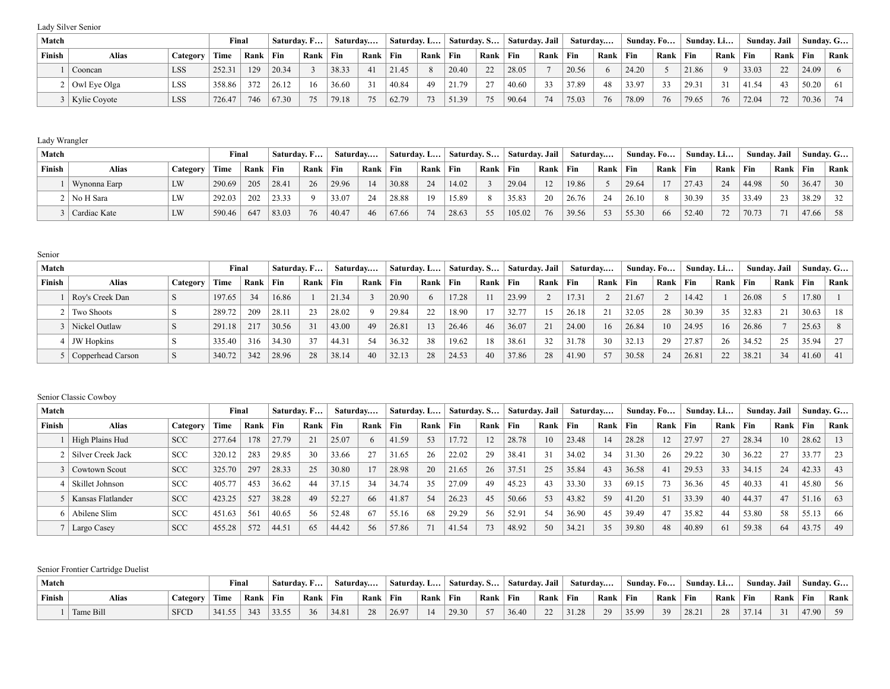Lady Silver Senior

| Match  |                  |            | Final  |      |       | Saturday. F |       | Saturday     | Saturday. L |      | Saturdav. S |          | Saturdav. Jail |      | Saturdav |      | Sunday. Fo |            | Sunday. Li |      | Sundav. Jail |                       |                | Sunday. G |
|--------|------------------|------------|--------|------|-------|-------------|-------|--------------|-------------|------|-------------|----------|----------------|------|----------|------|------------|------------|------------|------|--------------|-----------------------|----------------|-----------|
| Finish | <b>Alias</b>     | Category   | Time   | Rank | Fin   | Rank        | Fin   | $Rank$ $Fin$ |             | Rank | Fin         | Rank     | $ $ Fin        | Rank | Fin      | Rank | Fin        | Rank   Fin |            | Rank | Fin          | Rank                  | $\mathsf{Fin}$ | Rank      |
|        | Cooncan          | <b>LSS</b> | 252.31 | 129  | 20.34 |             | 38.33 | 41           | 21.45       |      | 20.40       | 22       | 28.05          |      | 20.56    |      | 24.20      |            | 21.86      |      | 33.03        | $\mathcal{D}$         | 24.09          |           |
|        | $2$ Owl Eye Olga | <b>LSS</b> | 358.86 | 372  | 26.12 | 16          | 36.60 |              | 40.84       | 49   | 21.79       | $\gamma$ | 40.60          | 33   | 37.89    | 48   | 33.97      |            | 29.3       | 31   | 41.54        | $\Delta$ <sup>3</sup> | 50.20          | - 61      |
|        | 3   Kylie Coyote | <b>LSS</b> | 726.47 | 746  | 67.30 | 75          | 79.18 | 75           | 62.79       | 73   | 51.39       | 75       | 90.64          | 74   | 75.03    | 76   | 78.09      | 76         | 79.65      | 76   | 72.04        | 72                    | 70.36          |           |

# Lady Wrangler

| Match  |              |          | Final  |      | Saturday. F |      | Saturday |              | Saturday. L |      | Saturday. S |      | Saturday. Jail |      | Saturdav |            | Sunday. Fo |          | Sunday. Li |      |       | Sunday. Jail |       | Sunday. G |
|--------|--------------|----------|--------|------|-------------|------|----------|--------------|-------------|------|-------------|------|----------------|------|----------|------------|------------|----------|------------|------|-------|--------------|-------|-----------|
| Finish | Alias        | Category | Time   | Rank | ` Fin       | Rank | $ $ Fin  | $Rank$   Fin |             | Rank | Fin         | Rank | Fin            | Rank | Fin      | Rank   Fin |            | Rank Fin |            | Rank | Fin   | Rank         | Fin   | Rank      |
|        | Wynonna Earp |          | 290.69 | 205  | 28.41       | 26   | 29.96    |              | 30.88       | 24   | 14.02       |      | 29.04          | 12   | 19.86    |            | 29.64      | 17       | 27.43      | 24   | 44.98 | 50           | 36.47 | 30        |
|        | No H Sara    |          | 292.03 | 202  | 23.33       |      | 33.07    | 24           | 28.88       | 19   | 15.89       |      | 35.83          | 20   | 26.76    | 24         | 26.10      |          | 30.39      |      | 33.49 | 23           | 38.29 |           |
|        | Cardiac Kate |          | 590.46 | 647  | 83.03       | 76   | 40.47    | 46           | 67.66       | 74   | 28.63       | 55   | 105.02         | 76   | 39.56    | 53         | 55.30      | 66       | 52.40      | 72   | 70.73 | 71           | 47.66 | 58        |

Senior

| Match         |                   |          | Final  |      |       | Saturday. F |       | Saturday | . Saturdav. L… |      | Saturday. S |      | Saturday. Jail |      | Saturday |      | Sunday. Fo |      | Sunday. Li |      | Sundav. Jail |      |       | Sunday. G |
|---------------|-------------------|----------|--------|------|-------|-------------|-------|----------|----------------|------|-------------|------|----------------|------|----------|------|------------|------|------------|------|--------------|------|-------|-----------|
| <b>Finish</b> | Alias             | Category | Time   | Rank | Fin   | Rank        | Fin   | Rank     | <b>Fin</b>     | Rank | Fin         | Rank | Fin            | Rank | Fin      | Rank | Fin        | Rank | $ $ Fin    | Rank | Fin          | Rank | Fin   | Rank      |
|               | Roy's Creek Dan   |          | 197.65 | 34   | 16.86 |             | 21.34 |          | 20.90          | 6    | 17.28       |      | 23.99          |      | 17.31    |      | 21.67      |      | 14.42      |      | 26.08        |      | 17.80 |           |
|               | Two Shoots        |          | 289.72 | 209  | 28.11 | 23          | 28.02 |          | 29.84          | 22   | 18.90       |      | 32.77          | 15   | 26.18    | 21   | 32.05      | 28   | 30.39      | 35   | 32.83        | 21   | 30.63 | -18       |
|               | Nickel Outlaw     |          | 291.18 | 217  | 30.56 | 31          | 43.00 | 49       | 26.81          | 13   | 26.46       | 46   | 36.07          | 21   | 24.00    | 16   | 26.84      |      | 24.95      | 16   | 26.86        |      | 25.63 |           |
|               | <b>JW</b> Hopkins |          | 335.40 | 316  | 34.30 | 37          | 44.31 | 54       | 36.32          | 38   | 19.62       | 18   | 38.61          | 32   | 31.78    | 30   | 32.13      | 29   | 27.87      | 26   | 34.52        | 25   | 35.94 | 27        |
|               | Copperhead Carson |          | 340.72 | 342  | 28.96 | 28          | 38.14 | 40       | 32.13          | 28   | 24.53       | 40   | 37.86          | 28   | 41.90    | 57   | 30.58      | 24   | 26.81      | 22   | 38.21        | 34   | 41.60 | -41       |

### Senior Classic Cowboy

| Match  |                   |            | Final  |      | Saturday. F |      |       | Saturday   | Saturday. L |      | Saturday. S |      |       | Saturday. Jail | Saturday |      | Sunday. Fo |       | Sunday. Li |      | Sunday. Jail |      |       | Sunday. G |
|--------|-------------------|------------|--------|------|-------------|------|-------|------------|-------------|------|-------------|------|-------|----------------|----------|------|------------|-------|------------|------|--------------|------|-------|-----------|
| Finish | <b>Alias</b>      | Category   | Time   | Rank | Fin         | Rank | Fin   | Rank   Fin |             | Rank | Fin         | Rank | Fin   | Rank           | Fin      | Rank | Fin        | Rank  | Fin        | Rank | Fin          | Rank | Fin   | Rank      |
|        | High Plains Hud   | <b>SCC</b> | 277.64 | 178  | 27.79       | 21   | 25.07 |            | 41.59       | 53   | 17.72       |      | 28.78 | 10             | 23.48    | 14   | 28.28      |       | 27.97      | 27   | 28.34        | 10   | 28.62 | 13        |
|        | Silver Creek Jack | <b>SCC</b> | 320.12 | 283  | 29.85       | 30   | 33.66 | 27         | 31.65       | 26   | 22.02       | 29   | 38.41 | 31             | 34.02    | 34   | 31.30      | 26    | 29.22      | 30   | 36.22        | 27   | 33.77 | 23        |
|        | Cowtown Scout     | <b>SCC</b> | 325.70 | 297  | 28.33       | 25   | 30.80 |            | 28.98       | 20   | 21.65       | 26   | 37.51 | 25             | 35.84    | 43   | 36.58      | $-4i$ | 29.53      | 33   | 34.15        | 24   | 42.33 | 43        |
|        | Skillet Johnson   | <b>SCC</b> | 405.77 | 453  | 36.62       | 44   | 37.15 | 34         | 34.74       | 35   | 27.09       | 49   | 45.23 | 43             | 33.30    | 33   | 69.15      |       | 36.36      | 45   | 40.33        | 41   | 45.80 | 56        |
|        | Kansas Flatlander | <b>SCC</b> | 423.25 | 527  | 38.28       | 49   | 52.27 | -66        | 41.87       | 54   | 26.23       | 45   | 50.66 | 53             | 43.82    | 59   | 41.20      | 51    | 33.39      | 40   | 44.37        | 47   | 51.16 | 63        |
|        | Abilene Slim      | <b>SCC</b> | 451.63 | 561  | 40.65       | 56   | 52.48 | -67        | 55.16       | 68   | 29.29       | 56   | 52.91 | 54             | 36.90    | 45   | 39.49      | 47    | 35.82      | 44   | 53.80        | 58   | 55.13 | 66        |
|        | Largo Casey       | <b>SCC</b> | 455.28 | 572  | 44.51       | 65   | 44.42 | 56         | 57.86       | 71   | 41.54       | 73   | 48.92 | 50             | 34.21    | 35   | 39.80      | 48    | 40.89      | 61   | 59.38        | 64   | 43.75 | 49        |

# Senior Frontier Cartridge Duelist

| Match  |           |                  | $\nabla$ inal |            | .<br>Saturday. F |      | Saturday |      | Saturday. L |      | ' Saturdav. S |      | Saturdav. Jail |        | Saturdav         |      | Sundav. Fo |      | Sunday. Li  |      | Sundav. Jail |      |       | $\lq$ Sundav. G $\lq$ |
|--------|-----------|------------------|---------------|------------|------------------|------|----------|------|-------------|------|---------------|------|----------------|--------|------------------|------|------------|------|-------------|------|--------------|------|-------|-----------------------|
| Finish | Alias     | <i>c</i> ategory | Time          | Rank   Fin |                  | Rank | ' Fin    | Rank | Fin         | Rank | Fin           | Rank | Fin            | Rank   | Fin              | Rank | Fin        | Rank | $\perp$ Fin | Rank | Fin          | Rank | Fin   | Rank                  |
|        | Tame Bill | <b>SFCD</b>      | 341.55        | 343        | 33.55            | 36   | 34.81    | 28   | 26.97       |      | $12930 +$     | 57   | 36.40          | $\sim$ | 31.28<br>،٤. د د | 29   | 35.99      | 30   | 28.21       |      | 37.14        | 21   | 47.90 | 59                    |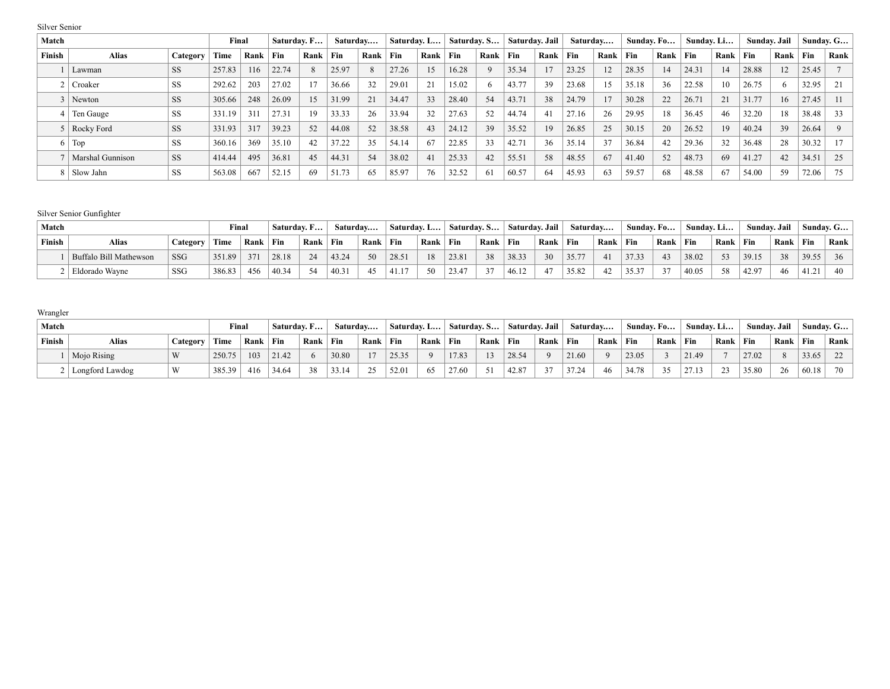| Match  |                         |           | Final  |      |       | Saturday. F  |       | Saturday |       | Saturday. L | Saturday. S |      | Saturday. Jail |      | Saturday |      | Sunday. Fo |      | Sunday. Li |      |       | Sunday. Jail | Sunday. G |      |
|--------|-------------------------|-----------|--------|------|-------|--------------|-------|----------|-------|-------------|-------------|------|----------------|------|----------|------|------------|------|------------|------|-------|--------------|-----------|------|
| Finish | <b>Alias</b>            | Category  | Time   | Rank | Fin   | Rank         | Fin   | Rank     | Fin   | Rank        | Fin         | Rank | Fin            | Rank | Fin      | Rank | Fin        | Rank | Fin        | Rank | Fin   | Rank         | Fin       | Rank |
|        | Lawman                  | <b>SS</b> | 257.83 | 16   | 22.74 | $\mathbf{8}$ | 25.97 |          | 27.26 | 15          | 16.28       |      | 35.34          | 17   | 23.25    | 12   | 28.35      | 14   | 24.31      | 14   | 28.88 | 12           | 25.45     |      |
|        | Croaker                 | SS        | 292.62 | 203  | 27.02 | 17           | 36.66 |          | 29.01 | 21          | 15.02       |      | 43.77          | 39   | 23.68    |      | 35.18      | 36   | 22.58      | 10   | 26.75 |              | 32.95     | - 21 |
|        | Newton                  | <b>SS</b> | 305.66 | 248  | 26.09 | 15           | 31.99 |          | 34.47 | 33          | 28.40       | 54   | 43.71          | 38   | 24.79    | 17   | 30.28      | 22   | 26.71      | 21   | 31.77 | 16           | 27.45     |      |
|        | Ten Gauge               | <b>SS</b> | 331.19 | 311  | 27.31 | 19           | 33.33 | 26       | 33.94 | 32          | 27.63       | 52   | 44.74          | 41   | 27.16    | 26   | 29.95      | 18   | 36.45      | 46   | 32.20 | 18           | 38.48     | 33   |
|        | 5   Rocky Ford          | <b>SS</b> | 331.93 | 317  | 39.23 | 52           | 44.08 | 52       | 38.58 | 43          | 24.12       | 39   | 35.52          | 19   | 26.85    | 25   | 30.15      | 20   | 26.52      | 19   | 40.24 | 39           | 26.64     |      |
| 61     | Top                     | <b>SS</b> | 360.16 | 369  | 35.10 | 42           | 37.22 | 35       | 54.14 | 67          | 22.85       | 33   | 42.71          | 36   | 35.14    | 37   | 36.84      | 42   | 29.36      | 32   | 36.48 | 28           | 30.32     | 17   |
|        | <b>Marshal Gunnison</b> | <b>SS</b> | 414.44 | 495  | 36.81 | 45           | 44.31 | 54       | 38.02 | 41          | 25.33       | 42   | 55.51          | 58   | 48.55    | 67   | 41.40      | 52   | 48.73      | 69   | 41.27 | 42           | 34.51     | 25   |
|        | 8   Slow Jahn           | SS        | 563.08 | 667  | 52.15 | 69           | 51.73 | 65       | 85.97 | 76          | 32.52       | 61   | 60.57          | 64   | 45.93    | 63   | 59.57      | 68   | 48.58      | 67   | 54.00 | 59           | 72.06     | 75   |

### Silver Senior Gunfighter

Silver Senior

| Match  |                        |            | Final  |      | $\overline{\phantom{a}}$ Saturday. F |            | Saturday |              | Saturday. L |      | Saturday, S |        | Saturday. Jail |      | Saturdav |      | Sunday, Fo |        | Sunday. Li |      | Sundav. Jail |      | Sunday. G        |      |
|--------|------------------------|------------|--------|------|--------------------------------------|------------|----------|--------------|-------------|------|-------------|--------|----------------|------|----------|------|------------|--------|------------|------|--------------|------|------------------|------|
| Finish | Alias                  | Category   | Time   | Rank | Fin                                  | Rank   Fin |          | Rank         | Fin         | Rank | ' Fin       | Rank   | Fin            | Rank | Fin      | Rank | Fin        | ' Rank | $ $ Fin    | Rank | Fin          | Rank | <sup>'</sup> Fin | Rank |
|        | Buffalo Bill Mathewson | <b>SSG</b> | 351.89 |      | 28.18                                | 24         | 43.24    | $50^{\circ}$ | 28.51       | 18   | 23.81       | 38     | 38.33          | 30   | 35.77    | 41   | 37.33      | 43     | 38.02      | 53   | 39.15        | 38   | 39.55            | 36   |
|        | Eldorado Wayne         | SSG        | 386.83 | 456  | 40.34                                | 54         | 40.31    | 45           | .41.17      | 50   | 23.47       | $\sim$ | 46.12          |      | 35.82    | 42   | 3537       |        | 40.05      | 58   | 42.97        | 46   | 41.21            | 40   |

#### Wrangler

| Match  |                 |          | Final  |            | Saturday. F |      | Saturday |      | Saturday. L |          | Saturday, S |        | Saturday. Jail |        | Saturday |          | Sunday. Fo |      | Sunday. Li |                | Sundav. Jail |      | Sunday. G  |      |
|--------|-----------------|----------|--------|------------|-------------|------|----------|------|-------------|----------|-------------|--------|----------------|--------|----------|----------|------------|------|------------|----------------|--------------|------|------------|------|
| Finish | Alias           | Category | Time   | Rank   Fin |             | Rank | Fin      | Rank | $ $ Fin     | Rank     | Fin         | ' Rank | Fin            | Rank   | Fin      | Rank     | Fin        | Rank | $ $ Fin    | Rank           | Fin          | Rank | <b>Fin</b> | Rank |
|        | Mojo Rising     | W        | 250.75 | 103        | 21.42       |      | 30.80    |      | 25.35       | $\Omega$ | 17.83       | 13     | 28.54          |        | 21.60    | $\Omega$ | 23.05      |      | 21.49      |                | 27.02        |      | 33.65      |      |
|        | Longford Lawdog | W        | 385.39 | 416        | 34.64       | 38   | 33.14    | 25   | 52.01       | 65       | 27.60       | 51     | 42.87          | $\sim$ | 37.24    | 46       | 34.78      | 35   | 27.13      | 2 <sup>2</sup> | 35.80        | 26   | 60.18      | 70   |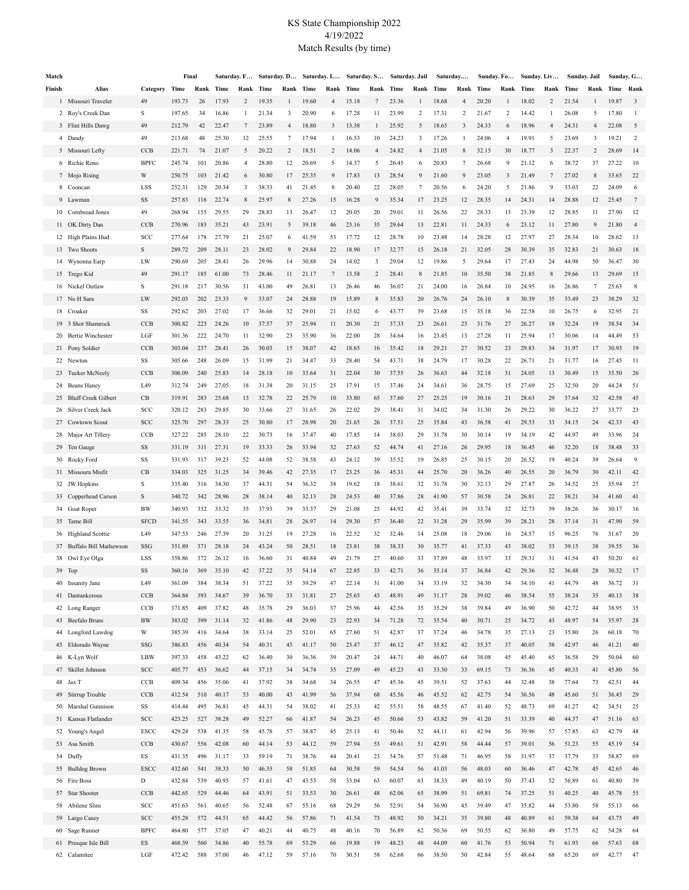#### KS State Championship 2022 4/19/2022 Match Results (by time)

| Match  |                            | Final       |        |     | Saturday. F… |      |       |           |       |                         | Saturday. D Saturday. L Saturday. S Saturday. Jail |                |       |    | Saturday  |    | Sunday. Fo |                | Sunday. Liv |                | Sunday. Jail |                | Sunday. G      |                         |
|--------|----------------------------|-------------|--------|-----|--------------|------|-------|-----------|-------|-------------------------|----------------------------------------------------|----------------|-------|----|-----------|----|------------|----------------|-------------|----------------|--------------|----------------|----------------|-------------------------|
| Finish | Alias                      | Category    | Time   |     | Rank Time    | Rank | Time  | Rank Time |       | Rank                    | Time                                               | Rank Time      |       |    | Rank Time |    | Rank Time  | Rank Time      |             | Rank           | Time         |                | Rank Time Rank |                         |
|        | 1 Missouri Traveler        | 49          | 193.73 | 26  | 17.93        | 2    | 19.35 | 1         | 19.60 | 4                       | 15.18                                              | 7              | 23.36 |    | 18.68     | 4  | 20.20      |                | 18.02       | 2              | 21.54        | 1              | 19.87          | $\overline{\mathbf{3}}$ |
|        | 2 Roy's Creek Dan          | S           | 197.65 | 34  | 16.86        | 1    | 21.34 | 3         | 20.90 | 6                       | 17.28                                              | 11             | 23.99 | 2  | 17.31     | 2  | 21.67      | 2              | 14.42       | 1              | 26.08        | 5              | 17.80          | -1                      |
|        | 3 Flint Hills Dawg         | 49          | 212.79 | 42  | 22.47        | 7    | 23.89 | 4         | 18.80 | $\overline{\mathbf{3}}$ | 13.38                                              | 1              | 25.92 | 5  | 18.65     | 3  | 24.33      | 6              | 18.96       | 4              | 24.31        | $\overline{4}$ | 22.08          | 5                       |
|        | 4 Dandy                    | 49          | 213.68 | 48  | 25.30        | 12   | 25.55 | 7         | 17.94 | 1                       | 16.53                                              | 10             | 24.23 | 3  | 17.26     | 1  | 24.06      | $\overline{4}$ | 19.91       | 5              | 23.69        | 3              | 19.21          | 2                       |
|        | 5 Missouri Lefty           | CCB         | 221.71 | 74  | 21.07        | 5    | 20.22 | 2         | 18.51 | 2                       | 14.06                                              | $\overline{4}$ | 24.82 | 4  | 21.05     | 8  | 32.15      | 30             | 18.77       | 3              | 22.37        | 2              | 28.69          | 14                      |
|        | 6 Richie Reno              | <b>BPFC</b> | 245.74 | 101 | 20.86        | 4    | 28.80 | 12        | 20.69 | 5                       | 14.37                                              | 5              | 26.45 | 6  | 20.83     | 7  | 26.68      | 9              | 21.12       | 6              | 38.72        | 37             | 27.22          | 10                      |
|        | 7 Mojo Rising              | W           | 250.75 | 103 | 21.42        | 6    | 30.80 | 17        | 25.35 | 9                       | 17.83                                              | 13             | 28.54 | 9  | 21.60     | 9  | 23.05      | 3              | 21.49       | $\overline{7}$ | 27.02        | 8              | 33.65          | 22                      |
|        |                            |             |        |     |              |      |       |           |       |                         |                                                    |                |       |    |           |    |            |                |             |                |              |                |                |                         |
|        | 8 Cooncan                  | LSS         | 252.31 | 129 | 20.34        | 3    | 38.33 | 41        | 21.45 | 8                       | 20.40                                              | 22             | 28.05 | 7  | 20.56     | 6  | 24.20      | 5              | 21.86       | 9              | 33.03        | 22             | 24.09          | 6                       |
|        | 9 Lawman                   | SS          | 257.83 | 116 | 22.74        | 8    | 25.97 | 8         | 27.26 | 15                      | 16.28                                              | 9              | 35.34 | 17 | 23.25     | 12 | 28.35      | 14             | 24.31       | 14             | 28.88        | 12             | 25.45          | 7                       |
|        | 10 Cornbread Jones         | 49          | 268.94 | 155 | 29.55        | 29   | 28.83 | 13        | 26.47 | 12                      | 20.05                                              | 20             | 29.01 | 11 | 26.56     | 22 | 28.33      | 13             | 23.39       | 12             | 28.85        | 11             | 27.90          | 12                      |
|        | 11 OK Dirty Dan            | CCB         | 270.96 | 183 | 35.21        | 43   | 23.91 | 5         | 39.18 | 46                      | 23.16                                              | 35             | 29.64 | 13 | 22.81     | 11 | 24.33      | 6              | 23.12       | 11             | 27.80        | 9              | 21.80          | $\overline{4}$          |
|        | 12 High Plains Hud         | SCC         | 277.64 | 178 | 27.79        | 21   | 25.07 | 6         | 41.59 | 53                      | 17.72                                              | 12             | 28.78 | 10 | 23.48     | 14 | 28.28      | 12             | 27.97       | 27             | 28.34        | 10             | 28.62          | 13                      |
|        | 13 Two Shoots              | $\mathbf S$ | 289.72 | 209 | 28.11        | 23   | 28.02 | 9         | 29.84 | 22                      | 18.90                                              | 17             | 32.77 | 15 | 26.18     | 21 | 32.05      | 28             | 30.39       | 35             | 32.83        | 21             | 30.63          | 18                      |
|        | 14 Wynonna Earp            | LW          | 290.69 | 205 | 28.41        | 26   | 29.96 | 14        | 30.88 | 24                      | 14.02                                              | 3              | 29.04 | 12 | 19.86     | 5  | 29.64      | 17             | 27.43       | 24             | 44.98        | 50             | 36.47          | 30                      |
|        | 15 Trego Kid               | 49          | 291.17 | 185 | 61.00        | 73   | 28.46 | 11        | 21.17 | 7                       | 13.58                                              | 2              | 28.41 | 8  | 21.85     | 10 | 35.50      | 38             | 21.85       | 8              | 29.66        | 13             | 29.69          | 15                      |
|        | 16 Nickel Outlaw           | S           | 291.18 | 217 | 30.56        | 31   | 43.00 | 49        | 26.81 | 13                      | 26.46                                              | 46             | 36.07 | 21 | 24.00     | 16 | 26.84      | 10             | 24.95       | 16             | 26.86        | 7              | 25.63          | 8                       |
|        | 17 No H Sara               | LW          | 292.03 | 202 | 23.33        | 9    | 33.07 | 24        | 28.88 | 19                      | 15.89                                              | 8              | 35.83 | 20 | 26.76     | 24 | 26.10      | 8              | 30.39       | 35             | 33.49        | 23             | 38.29          | 32                      |
|        | 18 Croaker                 | SS          | 292.62 | 203 | 27.02        | 17   | 36.66 | 32        | 29.01 | 21                      | 15.02                                              | 6              | 43.77 | 39 | 23.68     | 15 | 35.18      | 36             | 22.58       | 10             | 26.75        | 6              | 32.95          | 21                      |
| 19     | 3 Shot Shamrock            | CCB         | 300.82 | 223 | 24.26        | 10   | 37.57 | 37        | 25.94 | 11                      | 20.30                                              | 21             | 37.33 | 23 | 26.61     | 23 | 31.76      | 27             | 26.27       | 18             | 32.24        | 19             | 38.54          | 34                      |
| 20     | <b>Bertie Winchester</b>   | LGF         | 301.36 | 222 | 24.70        | 11   | 32.90 | 23        | 35.90 | 36                      | 22.00                                              | 28             | 34.64 | 16 | 23.45     | 13 | 27.28      | 11             | 25.94       | 17             | 30.06        | 14             | 44.49          | 53                      |
|        | 21 Pony Soldier            | CCB         | 303.04 | 237 | 28.41        | 26   | 30.03 | 15        | 38.07 | 42                      | 18.65                                              | 16             | 35.42 | 18 | 29.21     | 27 | 30.52      | 23             | 29.83       | 34             | 31.97        | 17             | 30.93          | 19                      |
|        | 22 Newton                  | SS          | 305.66 | 248 | 26.09        | 15   | 31.99 | 21        | 34.47 | 33                      | 28.40                                              | 54             | 43.71 | 38 | 24.79     | 17 | 30.28      | 22             | 26.71       | 21             | 31.77        | 16             | 27.45          | -11                     |
| 23     | Tucker McNeely             | CCB         | 306.09 | 240 | 25.83        | 14   | 28.18 | 10        | 33.64 | 31                      | 22.04                                              | 30             | 37.55 | 26 | 36.63     | 44 | 32.18      | 31             | 24.05       | 13             | 30.49        | 15             | 35.50          | 26                      |
| 24     | Beans Haney                | L49         | 312.74 | 249 | 27.05        | 18   | 31.38 | 20        | 31.15 | 25                      | 17.91                                              | 15             | 37.46 | 24 | 34.61     | 36 | 28.75      | 15             | 27.69       | 25             | 32.50        | 20             | 44.24          | 51                      |
| 25     | <b>Bluff Creek Gilbert</b> | CB          | 319.91 | 283 | 25.68        | 13   | 32.78 | 22        | 25.79 | 10                      | 33.80                                              | 65             | 37.60 | 27 | 25.25     | 19 | 30.16      | 21             | 28.63       | 29             | 37.64        | 32             | 42.58          | 45                      |
| 26     | Silver Creek Jack          | SCC         | 320.12 | 283 | 29.85        | 30   | 33.66 | 27        | 31.65 | 26                      | 22.02                                              | 29             | 38.41 | 31 | 34.02     | 34 | 31.30      | 26             | 29.22       | 30             | 36.22        | 27             | 33.77          | 23                      |
| 27     | Cowtown Scout              | SCC         | 325.70 | 297 | 28.33        | 25   | 30.80 | 17        | 28.98 | 20                      | 21.65                                              | 26             | 37.51 | 25 | 35.84     | 43 | 36.58      | 41             | 29.53       | 33             | 34.15        | 24             | 42.33          | 43                      |
|        | 28 Major Art Tillery       | CCB         | 327.22 | 285 | 28.10        | 22   | 30.73 | 16        | 37.47 | 40                      | 17.85                                              | 14             | 38.03 | 29 | 31.78     | 30 | 30.14      | 19             | 34.19       | 42             | 44.97        | 49             | 33.96          | 24                      |
| 29     | Ten Gauge                  | SS          | 331.19 | 311 | 27.31        | 19   | 33.33 | 26        | 33.94 | 32                      | 27.63                                              | 52             | 44.74 | 41 | 27.16     | 26 | 29.95      | 18             | 36.45       | 46             | 32.20        | 18             | 38.48          | 33                      |
| 30     | Rocky Ford                 | SS          | 331.93 | 317 | 39.23        | 52   | 44.08 | 52        | 38.58 | 43                      | 24.12                                              | 39             | 35.52 | 19 | 26.85     | 25 | 30.15      | 20             | 26.52       | 19             | 40.24        | 39             | 26.64          | 9                       |
|        | 31 Missoura Misfit         | CB          | 334.03 | 325 | 31.25        | 34   | 39.46 | 42        | 27.35 | 17                      | 23.25                                              | 36             | 45.31 | 44 | 25.70     | 20 | 36.26      | 40             | 26.55       | 20             | 36.79        | 30             | 42.11          | 42                      |
|        | 32 JW Hopkins              | $\rm S$     | 335.40 | 316 | 34.30        | 37   | 44.31 | 54        | 36.32 | 38                      | 19.62                                              | 18             | 38.61 | 32 | 31.78     | 30 | 32.13      | 29             | 27.87       | 26             | 34.52        | 25             | 35.94          | 27                      |
|        | 33 Copperhead Carson       | S           | 340.72 | 342 | 28.96        | 28   | 38.14 | 40        | 32.13 | 28                      | 24.53                                              | 40             | 37.86 | 28 | 41.90     | 57 | 30.58      | 24             | 26.81       | 22             | 38.21        | 34             | 41.60          | 41                      |
|        | 34 Goat Roper              | BW          | 340.93 | 332 | 33.32        | 35   | 37.93 | 39        | 33.37 | 29                      | 21.08                                              | 25             | 44.92 | 42 | 35.41     | 39 | 33.74      | 32             | 32.73       | 39             | 38.26        | 36             | 30.17          | 16                      |
|        | 35 Tame Bill               | <b>SFCD</b> | 341.55 | 343 | 33.55        | 36   | 34.81 | 28        | 26.97 | 14                      | 29.30                                              | 57             | 36.40 | 22 | 31.28     | 29 | 35.99      | 39             | 28.21       | 28             | 37.14        | 31             | 47.90          | 59                      |
|        | 36 Highland Scottie        | L49         | 347.53 | 246 | 27.39        | 20   | 31.25 | 19        | 27.28 | 16                      | 22.52                                              | 32             | 32.46 | 14 | 25.08     | 18 | 29.06      | 16             | 24.57       | 15             | 96.25        | 76             | 31.67          | 20                      |
|        | 37 Buffalo Bill Mathewson  | SSG         | 351.89 | 371 | 28.18        | 24   | 43.24 | 50        | 28.51 | 18                      | 23.81                                              | 38             | 38.33 | 30 | 35.77     | 41 | 37.33      | 43             | 38.02       | 53             | 39.15        | 38             | 39.55          | 36                      |
|        | 38 Owl Eye Olga            | LSS         | 358.86 | 372 | 26.12        | 16   | 36.60 | 31        | 40.84 | 49                      | 21.79                                              | 27             | 40.60 | 33 | 37.89     | 48 | 33.97      | 33             | 29.31       | 31             | 41.54        | 43             | 50.20          | 61                      |
|        | 39 Top                     | SS          | 360.16 | 369 | 35.10        | 42   | 37.22 | 35        | 54.14 | 67                      | 22.85                                              | 33             | 42.71 | 36 | 35.14     | 37 | 36.84      | 42             | 29.36       | 32             | 36.48        | 28             | 30.32          | 17                      |
|        | 40 Insanity Jane           | L49         | 361.09 | 384 | 38.34        | 51   | 37.22 | 35        | 39.29 | 47                      | 22.14                                              | 31             | 41.00 | 34 | 33.19     | 32 | 34.30      | 34             | 34.10       | 41             | 44.79        | 48             | 36.72          | 31                      |
|        | 41 Dantankerous            | CCB         | 364.84 | 393 | 34.67        | 39   | 36.70 | 33        | 31.81 | 27                      | 25.65                                              | 43             | 48.91 | 49 | 31.17     | 28 | 39.02      | 46             | 38.54       | 55             | 38.24        | 35             | 40.13          | 38                      |
|        | 42 Long Ranger             | CCB         | 371.85 | 409 | 37.82        | 48   | 35.78 | 29        | 36.03 | 37                      | 25.96                                              | 44             | 42.56 | 35 | 35.29     | 38 | 39.84      | 49             | 36.90       | 50             | 42.72        | 44             | 38.95          | 35                      |
|        | 43 Beefalo Bruns           | $\rm BW$    | 383.02 | 399 | 31.14        | 32   | 41.86 | 48        | 29.90 | 23                      | 22.93                                              | 34             | 71.28 | 72 | 35.54     | 40 | 30.71      | 25             | 34.72       | 43             | 48.97        | 54             | 35.97          | 28                      |
|        | 44 Longford Lawdog         | W           | 385.39 | 416 | 34.64        | 38   | 33.14 | 25        | 52.01 | 65                      | 27.60                                              | 51             | 42.87 | 37 | 37.24     | 46 | 34.78      | 35             | 27.13       | 23             | 35.80        | 26             | 60.18          | 70                      |
|        | 45 Eldorado Wayne          | SSG         | 386.83 | 456 | 40.34        | 54   | 40.31 | 45        | 41.17 | 50                      | 23.47                                              | 37             | 46.12 | 47 | 35.82     | 42 | 35.37      | 37             | 40.05       | 58             | 42.97        | 46             | 41.21          | 40                      |
|        | 46 K-Lyn Wolf              | LBW         | 397.33 | 458 | 43.22        | 62   | 36.40 | 30        | 36.36 | 39                      | 20.47                                              | 24             | 44.71 | 40 | 46.07     | 64 | 38.08      | 45             | 45.40       | 65             | 36.58        | 29             | 50.04          | 60                      |
|        | 47 Skillet Johnson         | SCC         | 405.77 | 453 | 36.62        | 44   | 37.15 |           | 34.74 | 35                      | 27.09                                              | 49             | 45.23 | 43 | 33.30     |    | 69.15      | 73             | 36.36       | 45             | 40.33        | 41             | 45.80          | 56                      |
|        |                            |             |        |     |              |      | 37.92 | 34        |       |                         |                                                    |                |       |    |           | 33 |            |                |             |                |              |                |                | 44                      |
|        | 48 Jax T                   | CCB<br>CCB  | 409.34 | 456 | 35.06        | 41   |       | 38        | 34.68 | 34                      | 26.55                                              | 47             | 45.36 | 45 | 39.51     | 52 | 37.63      | 44             | 32.48       | 38             | 77.64        | 73             | 42.51          |                         |
|        | 49 Stirrup Trouble         |             | 412.54 | 510 | 40.17        | 53   | 40.00 | 43        | 41.99 | 56                      | 37.94                                              | 68             | 45.56 | 46 | 45.52     | 62 | 42.75      | 54             | 36.56       | 48             | 45.60        | 51             | 36.45          | 29                      |
|        | 50 Marshal Gunnison        | SS          | 414.44 | 495 | 36.81        | 45   | 44.31 | 54        | 38.02 | 41                      | 25.33                                              | 42             | 55.51 | 58 | 48.55     | 67 | 41.40      | 52             | 48.73       | 69             | 41.27        | 42             | 34.51          | 25                      |
|        | 51 Kansas Flatlander       | SCC         | 423.25 | 527 | 38.28        | 49   | 52.27 | 66        | 41.87 | 54                      | 26.23                                              | 45             | 50.66 | 53 | 43.82     | 59 | 41.20      | 51             | 33.39       | 40             | 44.37        | 47             | 51.16          | 63                      |
|        | 52 Young's Angel           | ESCC        | 429.24 | 538 | 41.35        | 58   | 45.78 | 57        | 38.87 | 45                      | 25.13                                              | 41             | 50.46 | 52 | 44.11     | 61 | 42.94      | 56             | 39.96       | 57             | 57.85        | 63             | 42.79          | 48                      |
|        | 53 Asa Smith               | CCB         | 430.67 | 556 | 42.08        | 60   | 44.14 | 53        | 44.12 | 59                      | 27.94                                              | 53             | 49.61 | 51 | 42.91     | 58 | 44.44      | 57             | 39.01       | 56             | 51.23        | 55             | 45.19          | 54                      |
|        | 54 Duffy                   | $_{\rm ES}$ | 431.35 | 496 | 31.17        | 33   | 59.19 | 71        | 38.76 | 44                      | 20.41                                              | 23             | 54.76 | 57 | 51.48     | 71 | 46.95      | 58             | 31.97       | 37             | 37.79        | 33             | 58.87          | 69                      |
|        | 55 Bulldog Brown           | <b>ESCC</b> | 432.60 | 541 | 38.33        | 50   | 46.35 | 58        | 51.85 | 64                      | 30.58                                              | 59             | 54.54 | 56 | 41.03     | 56 | 48.03      | 60             | 36.46       | 47             | 42.78        | 45             | 42.65          | 46                      |
|        | 56 Fire Boss               | $\mathbf D$ | 432.84 | 539 | 40.95        | 57   | 41.61 | 47        | 43.53 | 58                      | 33.04                                              | 63             | 60.07 | 63 | 38.33     | 49 | 40.19      | 50             | 37.43       | 52             | 56.89        | 61             | 40.80          | 39                      |
|        | 57 Star Shooter            | CCB         | 442.65 | 529 | 44.46        | 64   | 43.91 | 51        | 33.53 | 30                      | 26.61                                              | 48             | 62.06 | 65 | 38.99     | 51 | 69.81      | 74             | 37.25       | 51             | 40.25        | 40             | 45.78          | 55                      |
|        | 58 Abilene Slim            | SCC         | 451.63 | 561 | 40.65        | 56   | 52.48 | 67        | 55.16 | 68                      | 29.29                                              | 56             | 52.91 | 54 | 36.90     | 45 | 39.49      | 47             | 35.82       | 44             | 53.80        | 58             | 55.13          | 66                      |
|        | 59 Largo Casey             | SCC         | 455.28 | 572 | 44.51        | 65   | 44.42 | 56        | 57.86 | 71                      | 41.54                                              | 73             | 48.92 | 50 | 34.21     | 35 | 39.80      | 48             | 40.89       | 61             | 59.38        | 64             | 43.75          | 49                      |
|        | 60 Sage Runner             | <b>BPFC</b> | 464.80 | 577 | 37.05        | 47   | 40.21 | 44        | 40.75 | 48                      | 40.16                                              | 70             | 56.89 | 62 | 50.36     | 69 | 50.55      | 62             | 36.80       | 49             | 57.75        | 62             | 54.28          | 64                      |
|        | 61 Presque Isle Bill       | ES          | 468.39 | 560 | 34.86        | 40   | 55.78 | 69        | 53.29 | 66                      | 19.88                                              | 19             | 48.23 | 48 | 44.09     | 60 | 41.76      | 53             | 50.94       | 71             | 61.93        | 66             | 57.63          | 68                      |
|        | 62 Calamitee               | LGF         | 472.42 | 588 | 37.00        | 46   | 47.12 | 59        | 57.16 | 70                      | 30.51                                              | 58             | 62.68 | 66 | 38.50     | 50 | 42.84      | 55             | 48.64       | 68             | 65.20        | 69             | 42.77          | 47                      |